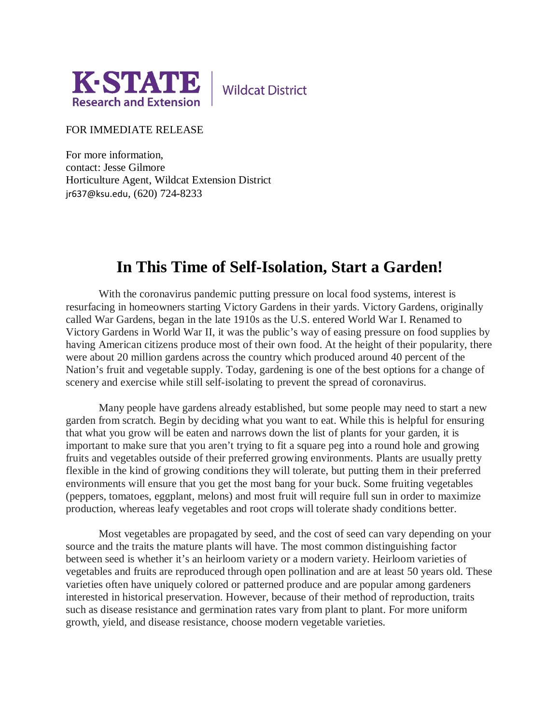

**Wildcat District** 

## FOR IMMEDIATE RELEASE

For more information, contact: Jesse Gilmore Horticulture Agent, Wildcat Extension District jr637@ksu.edu, (620) 724-8233

## **In This Time of Self-Isolation, Start a Garden!**

With the coronavirus pandemic putting pressure on local food systems, interest is resurfacing in homeowners starting Victory Gardens in their yards. Victory Gardens, originally called War Gardens, began in the late 1910s as the U.S. entered World War I. Renamed to Victory Gardens in World War II, it was the public's way of easing pressure on food supplies by having American citizens produce most of their own food. At the height of their popularity, there were about 20 million gardens across the country which produced around 40 percent of the Nation's fruit and vegetable supply. Today, gardening is one of the best options for a change of scenery and exercise while still self-isolating to prevent the spread of coronavirus.

Many people have gardens already established, but some people may need to start a new garden from scratch. Begin by deciding what you want to eat. While this is helpful for ensuring that what you grow will be eaten and narrows down the list of plants for your garden, it is important to make sure that you aren't trying to fit a square peg into a round hole and growing fruits and vegetables outside of their preferred growing environments. Plants are usually pretty flexible in the kind of growing conditions they will tolerate, but putting them in their preferred environments will ensure that you get the most bang for your buck. Some fruiting vegetables (peppers, tomatoes, eggplant, melons) and most fruit will require full sun in order to maximize production, whereas leafy vegetables and root crops will tolerate shady conditions better.

Most vegetables are propagated by seed, and the cost of seed can vary depending on your source and the traits the mature plants will have. The most common distinguishing factor between seed is whether it's an heirloom variety or a modern variety. Heirloom varieties of vegetables and fruits are reproduced through open pollination and are at least 50 years old. These varieties often have uniquely colored or patterned produce and are popular among gardeners interested in historical preservation. However, because of their method of reproduction, traits such as disease resistance and germination rates vary from plant to plant. For more uniform growth, yield, and disease resistance, choose modern vegetable varieties.